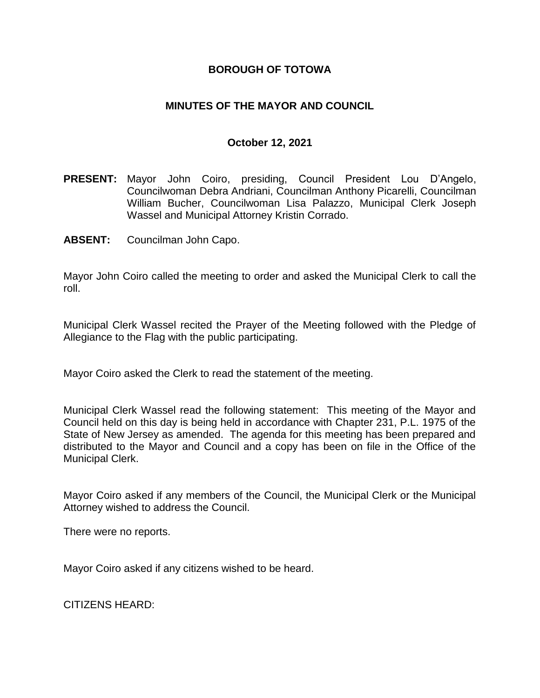## **BOROUGH OF TOTOWA**

## **MINUTES OF THE MAYOR AND COUNCIL**

### **October 12, 2021**

- **PRESENT:** Mayor John Coiro, presiding, Council President Lou D'Angelo, Councilwoman Debra Andriani, Councilman Anthony Picarelli, Councilman William Bucher, Councilwoman Lisa Palazzo, Municipal Clerk Joseph Wassel and Municipal Attorney Kristin Corrado.
- **ABSENT:** Councilman John Capo.

Mayor John Coiro called the meeting to order and asked the Municipal Clerk to call the roll.

Municipal Clerk Wassel recited the Prayer of the Meeting followed with the Pledge of Allegiance to the Flag with the public participating.

Mayor Coiro asked the Clerk to read the statement of the meeting.

Municipal Clerk Wassel read the following statement: This meeting of the Mayor and Council held on this day is being held in accordance with Chapter 231, P.L. 1975 of the State of New Jersey as amended. The agenda for this meeting has been prepared and distributed to the Mayor and Council and a copy has been on file in the Office of the Municipal Clerk.

Mayor Coiro asked if any members of the Council, the Municipal Clerk or the Municipal Attorney wished to address the Council.

There were no reports.

Mayor Coiro asked if any citizens wished to be heard.

CITIZENS HEARD: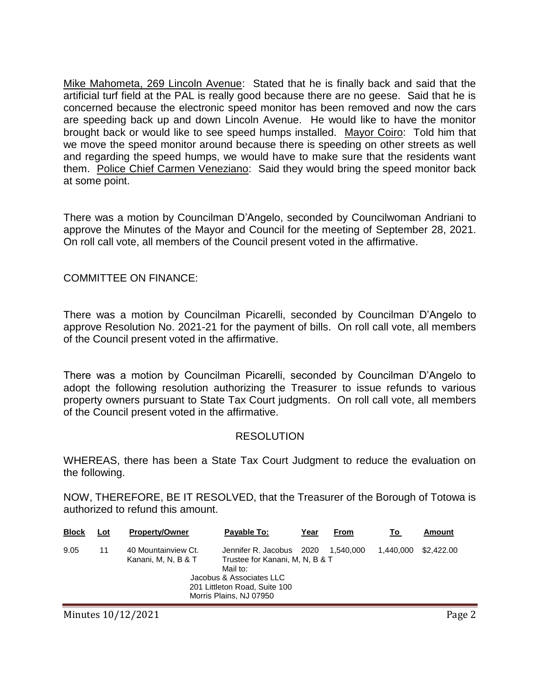Mike Mahometa, 269 Lincoln Avenue: Stated that he is finally back and said that the artificial turf field at the PAL is really good because there are no geese. Said that he is concerned because the electronic speed monitor has been removed and now the cars are speeding back up and down Lincoln Avenue. He would like to have the monitor brought back or would like to see speed humps installed. Mayor Coiro: Told him that we move the speed monitor around because there is speeding on other streets as well and regarding the speed humps, we would have to make sure that the residents want them. Police Chief Carmen Veneziano: Said they would bring the speed monitor back at some point.

There was a motion by Councilman D'Angelo, seconded by Councilwoman Andriani to approve the Minutes of the Mayor and Council for the meeting of September 28, 2021. On roll call vote, all members of the Council present voted in the affirmative.

COMMITTEE ON FINANCE:

There was a motion by Councilman Picarelli, seconded by Councilman D'Angelo to approve Resolution No. 2021-21 for the payment of bills. On roll call vote, all members of the Council present voted in the affirmative.

There was a motion by Councilman Picarelli, seconded by Councilman D'Angelo to adopt the following resolution authorizing the Treasurer to issue refunds to various property owners pursuant to State Tax Court judgments. On roll call vote, all members of the Council present voted in the affirmative.

### **RESOLUTION**

WHEREAS, there has been a State Tax Court Judgment to reduce the evaluation on the following.

NOW, THEREFORE, BE IT RESOLVED, that the Treasurer of the Borough of Totowa is authorized to refund this amount.

| <b>Block</b> | Lot | <b>Property/Owner</b>                      | Payable To:                                                                                                                                                     | Year | From      | Τo        | Amount     |
|--------------|-----|--------------------------------------------|-----------------------------------------------------------------------------------------------------------------------------------------------------------------|------|-----------|-----------|------------|
| 9.05         | 11  | 40 Mountainview Ct.<br>Kanani, M, N, B & T | Jennifer R. Jacobus 2020<br>Trustee for Kanani, M, N, B & T<br>Mail to:<br>Jacobus & Associates LLC<br>201 Littleton Road, Suite 100<br>Morris Plains, NJ 07950 |      | 1.540.000 | 1.440.000 | \$2,422.00 |
|              |     |                                            |                                                                                                                                                                 |      |           |           |            |

Minutes 10/12/2021 **Page 2**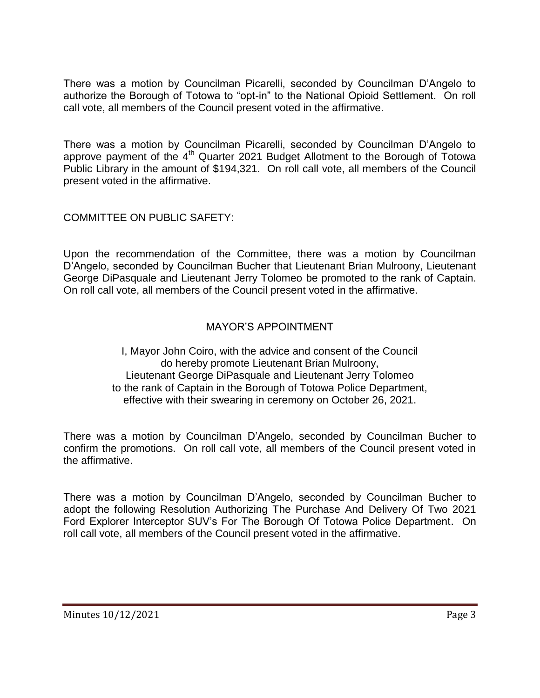There was a motion by Councilman Picarelli, seconded by Councilman D'Angelo to authorize the Borough of Totowa to "opt-in" to the National Opioid Settlement. On roll call vote, all members of the Council present voted in the affirmative.

There was a motion by Councilman Picarelli, seconded by Councilman D'Angelo to approve payment of the  $4<sup>th</sup>$  Quarter 2021 Budget Allotment to the Borough of Totowa Public Library in the amount of \$194,321. On roll call vote, all members of the Council present voted in the affirmative.

COMMITTEE ON PUBLIC SAFETY:

Upon the recommendation of the Committee, there was a motion by Councilman D'Angelo, seconded by Councilman Bucher that Lieutenant Brian Mulroony, Lieutenant George DiPasquale and Lieutenant Jerry Tolomeo be promoted to the rank of Captain. On roll call vote, all members of the Council present voted in the affirmative.

# MAYOR'S APPOINTMENT

I, Mayor John Coiro, with the advice and consent of the Council do hereby promote Lieutenant Brian Mulroony, Lieutenant George DiPasquale and Lieutenant Jerry Tolomeo to the rank of Captain in the Borough of Totowa Police Department, effective with their swearing in ceremony on October 26, 2021.

There was a motion by Councilman D'Angelo, seconded by Councilman Bucher to confirm the promotions. On roll call vote, all members of the Council present voted in the affirmative.

There was a motion by Councilman D'Angelo, seconded by Councilman Bucher to adopt the following Resolution Authorizing The Purchase And Delivery Of Two 2021 Ford Explorer Interceptor SUV's For The Borough Of Totowa Police Department. On roll call vote, all members of the Council present voted in the affirmative.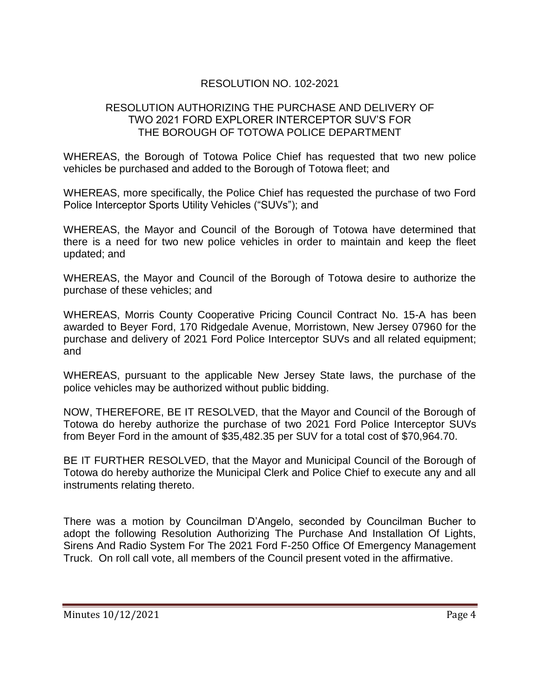# RESOLUTION NO. 102-2021

## RESOLUTION AUTHORIZING THE PURCHASE AND DELIVERY OF TWO 2021 FORD EXPLORER INTERCEPTOR SUV'S FOR THE BOROUGH OF TOTOWA POLICE DEPARTMENT

WHEREAS, the Borough of Totowa Police Chief has requested that two new police vehicles be purchased and added to the Borough of Totowa fleet; and

WHEREAS, more specifically, the Police Chief has requested the purchase of two Ford Police Interceptor Sports Utility Vehicles ("SUVs"); and

WHEREAS, the Mayor and Council of the Borough of Totowa have determined that there is a need for two new police vehicles in order to maintain and keep the fleet updated; and

WHEREAS, the Mayor and Council of the Borough of Totowa desire to authorize the purchase of these vehicles; and

WHEREAS, Morris County Cooperative Pricing Council Contract No. 15-A has been awarded to Beyer Ford, 170 Ridgedale Avenue, Morristown, New Jersey 07960 for the purchase and delivery of 2021 Ford Police Interceptor SUVs and all related equipment; and

WHEREAS, pursuant to the applicable New Jersey State laws, the purchase of the police vehicles may be authorized without public bidding.

NOW, THEREFORE, BE IT RESOLVED, that the Mayor and Council of the Borough of Totowa do hereby authorize the purchase of two 2021 Ford Police Interceptor SUVs from Beyer Ford in the amount of \$35,482.35 per SUV for a total cost of \$70,964.70.

BE IT FURTHER RESOLVED, that the Mayor and Municipal Council of the Borough of Totowa do hereby authorize the Municipal Clerk and Police Chief to execute any and all instruments relating thereto.

There was a motion by Councilman D'Angelo, seconded by Councilman Bucher to adopt the following Resolution Authorizing The Purchase And Installation Of Lights, Sirens And Radio System For The 2021 Ford F-250 Office Of Emergency Management Truck. On roll call vote, all members of the Council present voted in the affirmative.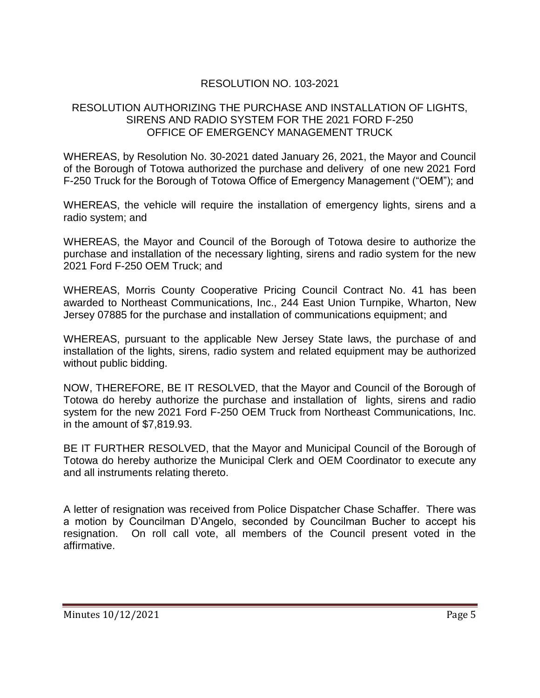# RESOLUTION NO. 103-2021

### RESOLUTION AUTHORIZING THE PURCHASE AND INSTALLATION OF LIGHTS, SIRENS AND RADIO SYSTEM FOR THE 2021 FORD F-250 OFFICE OF EMERGENCY MANAGEMENT TRUCK

WHEREAS, by Resolution No. 30-2021 dated January 26, 2021, the Mayor and Council of the Borough of Totowa authorized the purchase and delivery of one new 2021 Ford F-250 Truck for the Borough of Totowa Office of Emergency Management ("OEM"); and

WHEREAS, the vehicle will require the installation of emergency lights, sirens and a radio system; and

WHEREAS, the Mayor and Council of the Borough of Totowa desire to authorize the purchase and installation of the necessary lighting, sirens and radio system for the new 2021 Ford F-250 OEM Truck; and

WHEREAS, Morris County Cooperative Pricing Council Contract No. 41 has been awarded to Northeast Communications, Inc., 244 East Union Turnpike, Wharton, New Jersey 07885 for the purchase and installation of communications equipment; and

WHEREAS, pursuant to the applicable New Jersey State laws, the purchase of and installation of the lights, sirens, radio system and related equipment may be authorized without public bidding.

NOW, THEREFORE, BE IT RESOLVED, that the Mayor and Council of the Borough of Totowa do hereby authorize the purchase and installation of lights, sirens and radio system for the new 2021 Ford F-250 OEM Truck from Northeast Communications, Inc. in the amount of \$7,819.93.

BE IT FURTHER RESOLVED, that the Mayor and Municipal Council of the Borough of Totowa do hereby authorize the Municipal Clerk and OEM Coordinator to execute any and all instruments relating thereto.

A letter of resignation was received from Police Dispatcher Chase Schaffer. There was a motion by Councilman D'Angelo, seconded by Councilman Bucher to accept his resignation. On roll call vote, all members of the Council present voted in the affirmative.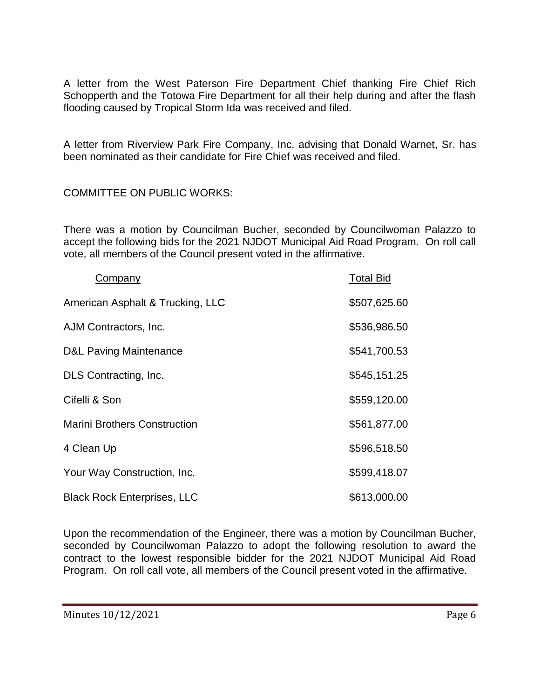A letter from the West Paterson Fire Department Chief thanking Fire Chief Rich Schopperth and the Totowa Fire Department for all their help during and after the flash flooding caused by Tropical Storm Ida was received and filed.

A letter from Riverview Park Fire Company, Inc. advising that Donald Warnet, Sr. has been nominated as their candidate for Fire Chief was received and filed.

COMMITTEE ON PUBLIC WORKS:

There was a motion by Councilman Bucher, seconded by Councilwoman Palazzo to accept the following bids for the 2021 NJDOT Municipal Aid Road Program. On roll call vote, all members of the Council present voted in the affirmative.

| Company                             | <b>Total Bid</b> |
|-------------------------------------|------------------|
| American Asphalt & Trucking, LLC    | \$507,625.60     |
| AJM Contractors, Inc.               | \$536,986.50     |
| <b>D&amp;L Paving Maintenance</b>   | \$541,700.53     |
| DLS Contracting, Inc.               | \$545,151.25     |
| Cifelli & Son                       | \$559,120.00     |
| <b>Marini Brothers Construction</b> | \$561,877.00     |
| 4 Clean Up                          | \$596,518.50     |
| Your Way Construction, Inc.         | \$599,418.07     |
| <b>Black Rock Enterprises, LLC</b>  | \$613,000.00     |

Upon the recommendation of the Engineer, there was a motion by Councilman Bucher, seconded by Councilwoman Palazzo to adopt the following resolution to award the contract to the lowest responsible bidder for the 2021 NJDOT Municipal Aid Road Program. On roll call vote, all members of the Council present voted in the affirmative.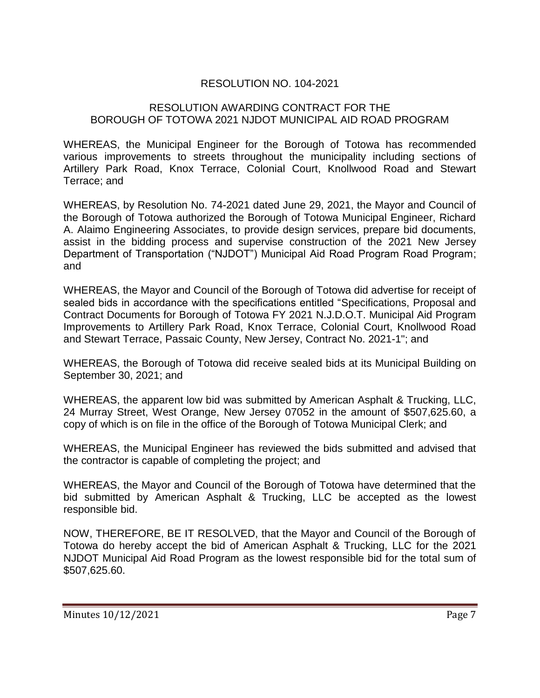# RESOLUTION NO. 104-2021

### RESOLUTION AWARDING CONTRACT FOR THE BOROUGH OF TOTOWA 2021 NJDOT MUNICIPAL AID ROAD PROGRAM

WHEREAS, the Municipal Engineer for the Borough of Totowa has recommended various improvements to streets throughout the municipality including sections of Artillery Park Road, Knox Terrace, Colonial Court, Knollwood Road and Stewart Terrace; and

WHEREAS, by Resolution No. 74-2021 dated June 29, 2021, the Mayor and Council of the Borough of Totowa authorized the Borough of Totowa Municipal Engineer, Richard A. Alaimo Engineering Associates, to provide design services, prepare bid documents, assist in the bidding process and supervise construction of the 2021 New Jersey Department of Transportation ("NJDOT") Municipal Aid Road Program Road Program; and

WHEREAS, the Mayor and Council of the Borough of Totowa did advertise for receipt of sealed bids in accordance with the specifications entitled "Specifications, Proposal and Contract Documents for Borough of Totowa FY 2021 N.J.D.O.T. Municipal Aid Program Improvements to Artillery Park Road, Knox Terrace, Colonial Court, Knollwood Road and Stewart Terrace, Passaic County, New Jersey, Contract No. 2021-1"; and

WHEREAS, the Borough of Totowa did receive sealed bids at its Municipal Building on September 30, 2021; and

WHEREAS, the apparent low bid was submitted by American Asphalt & Trucking, LLC, 24 Murray Street, West Orange, New Jersey 07052 in the amount of \$507,625.60, a copy of which is on file in the office of the Borough of Totowa Municipal Clerk; and

WHEREAS, the Municipal Engineer has reviewed the bids submitted and advised that the contractor is capable of completing the project; and

WHEREAS, the Mayor and Council of the Borough of Totowa have determined that the bid submitted by American Asphalt & Trucking, LLC be accepted as the lowest responsible bid.

NOW, THEREFORE, BE IT RESOLVED, that the Mayor and Council of the Borough of Totowa do hereby accept the bid of American Asphalt & Trucking, LLC for the 2021 NJDOT Municipal Aid Road Program as the lowest responsible bid for the total sum of \$507,625.60.